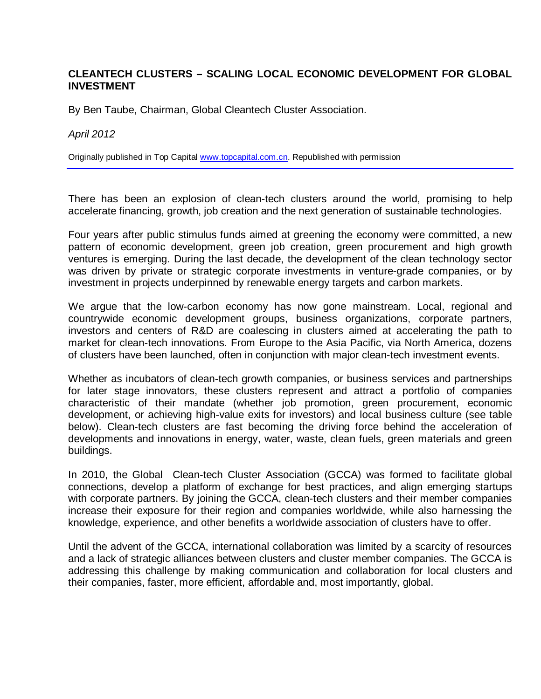## **CLEANTECH CLUSTERS – SCALING LOCAL ECONOMIC DEVELOPMENT FOR GLOBAL INVESTMENT**

By Ben Taube, Chairman, Global Cleantech Cluster Association.

*April 2012*

Originally published in Top Ca[pital www.topcapital.com](http://www.topcapital.com.cn/).cn. Republished with permission

There has been an explosion of clean-tech clusters around the world, promising to help accelerate financing, growth, job creation and the next generation of sustainable technologies.

Four years after public stimulus funds aimed at greening the economy were committed, a new pattern of economic development, green job creation, green procurement and high growth ventures is emerging. During the last decade, the development of the clean technology sector was driven by private or strategic corporate investments in venture-grade companies, or by investment in projects underpinned by renewable energy targets and carbon markets.

We argue that the low-carbon economy has now gone mainstream. Local, regional and countrywide economic development groups, business organizations, corporate partners, investors and centers of R&D are coalescing in clusters aimed at accelerating the path to market for clean-tech innovations. From Europe to the Asia Pacific, via North America, dozens of clusters have been launched, often in conjunction with major clean-tech investment events.

Whether as incubators of clean-tech growth companies, or business services and partnerships for later stage innovators, these clusters represent and attract a portfolio of companies characteristic of their mandate (whether job promotion, green procurement, economic development, or achieving high-value exits for investors) and local business culture (see table below). Clean-tech clusters are fast becoming the driving force behind the acceleration of developments and innovations in energy, water, waste, clean fuels, green materials and green buildings.

In 2010, the Global Clean-tech Cluster Association (GCCA) was formed to facilitate global connections, develop a platform of exchange for best practices, and align emerging startups with corporate partners. By joining the GCCA, clean-tech clusters and their member companies increase their exposure for their region and companies worldwide, while also harnessing the knowledge, experience, and other benefits a worldwide association of clusters have to offer.

Until the advent of the GCCA, international collaboration was limited by a scarcity of resources and a lack of strategic alliances between clusters and cluster member companies. The GCCA is addressing this challenge by making communication and collaboration for local clusters and their companies, faster, more efficient, affordable and, most importantly, global.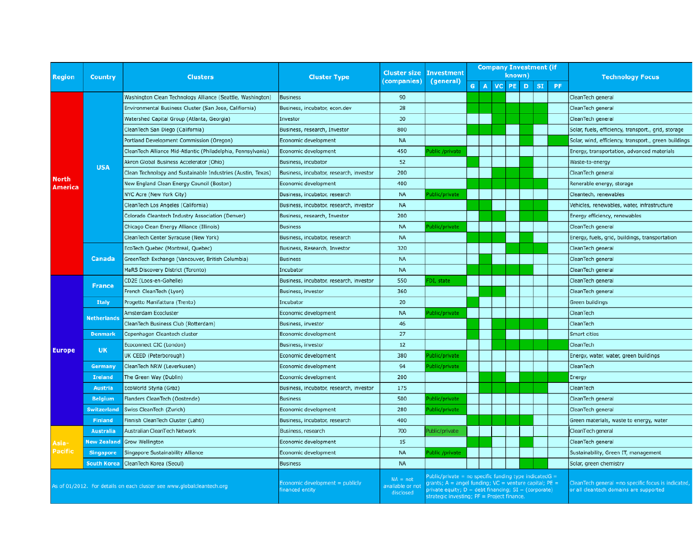| <b>Region</b>                                                          | <b>Country</b>     | <b>Clusters</b>                                              | <b>Cluster Type</b>                               | <b>Cluster size</b><br>(companies)          | <b>Investment</b><br>(general)                                                                                                                                                                                                                            | <b>Company Investment (if</b> |  |  |  |  |           |                                                                                              |                                                      |
|------------------------------------------------------------------------|--------------------|--------------------------------------------------------------|---------------------------------------------------|---------------------------------------------|-----------------------------------------------------------------------------------------------------------------------------------------------------------------------------------------------------------------------------------------------------------|-------------------------------|--|--|--|--|-----------|----------------------------------------------------------------------------------------------|------------------------------------------------------|
|                                                                        |                    |                                                              |                                                   |                                             |                                                                                                                                                                                                                                                           | known)<br>A VC PE D           |  |  |  |  |           |                                                                                              | <b>Technology Focus</b>                              |
|                                                                        |                    |                                                              |                                                   |                                             |                                                                                                                                                                                                                                                           | G.                            |  |  |  |  | <b>SI</b> | <b>PF</b>                                                                                    |                                                      |
| <b>North</b><br><b>America</b>                                         | <b>USA</b>         | Washington Clean Technology Alliance (Seattle, Washington)   | <b>Business</b>                                   | 90                                          |                                                                                                                                                                                                                                                           |                               |  |  |  |  |           |                                                                                              | CleanTech general                                    |
|                                                                        |                    | Environmental Business Cluster (San Jose, Califiornia)       | Business, incubator, econ.dev                     | 28                                          |                                                                                                                                                                                                                                                           |                               |  |  |  |  |           |                                                                                              | CleanTech general                                    |
|                                                                        |                    | Watershed Capital Group (Atlanta, Georgia)                   | Investor                                          | 30                                          |                                                                                                                                                                                                                                                           |                               |  |  |  |  |           |                                                                                              | CleanTech general                                    |
|                                                                        |                    | CleanTech San Diego (California)                             | Business, research, Investor                      | 800                                         |                                                                                                                                                                                                                                                           |                               |  |  |  |  |           |                                                                                              | Solar, fuels, efficiency, transport., grid, storage  |
|                                                                        |                    | Portland Development Commission (Oregon)                     | Economic development                              | <b>NA</b>                                   |                                                                                                                                                                                                                                                           |                               |  |  |  |  |           |                                                                                              | Solar, wind, efficiency, transport., green buildings |
|                                                                        |                    | CleanTech Alliance Mid-Atlantic (Philadelphia, Pennsylvania) | Economic development                              | 450                                         | ublic /private                                                                                                                                                                                                                                            |                               |  |  |  |  |           |                                                                                              | Energy, transportation, advanced materials           |
|                                                                        |                    | Akron Global Business Accelerator (Ohio)                     | Business, incubator                               | 52                                          |                                                                                                                                                                                                                                                           |                               |  |  |  |  |           |                                                                                              | Waste-to-energy                                      |
|                                                                        |                    | Clean Technology and Sustainable Industries (Austin, Texas)  | Business, incubator, research, investor           | 200                                         |                                                                                                                                                                                                                                                           |                               |  |  |  |  |           |                                                                                              | CleanTech general                                    |
|                                                                        |                    | New England Clean Energy Council (Boston)                    | Economic development                              | 400                                         |                                                                                                                                                                                                                                                           |                               |  |  |  |  |           |                                                                                              | Renerable energy, storage                            |
|                                                                        |                    | NYC Acre (New York City)                                     | Business, incubator, research                     | <b>NA</b>                                   | ublic/private                                                                                                                                                                                                                                             |                               |  |  |  |  |           |                                                                                              | Cleantech, renewables                                |
|                                                                        |                    | CleanTech Los Angeles (California)                           | Business, incubator, research, investor           | <b>NA</b>                                   |                                                                                                                                                                                                                                                           |                               |  |  |  |  |           |                                                                                              | Vehicles, renewables, water, infrastructure          |
|                                                                        |                    | Colorado Cleantech Industry Association (Denver)             | Business, research, Investor                      | 200                                         |                                                                                                                                                                                                                                                           |                               |  |  |  |  |           |                                                                                              | Energy efficiency, renewables                        |
|                                                                        |                    | Chicago Clean Energy Alliance (Illinois)                     | <b>Business</b>                                   | <b>NA</b>                                   | ublic/private                                                                                                                                                                                                                                             |                               |  |  |  |  |           |                                                                                              | CleanTech general                                    |
|                                                                        |                    | CleanTech Center Syracuse (New York)                         | Business, incubator, research                     | <b>NA</b>                                   |                                                                                                                                                                                                                                                           |                               |  |  |  |  |           |                                                                                              | Energy, fuels, grid, buildings, transportation       |
|                                                                        | Canada             | EcoTech Quebec (Montreal, Quebec)                            | Business, Research, Investor                      | 320                                         |                                                                                                                                                                                                                                                           |                               |  |  |  |  |           |                                                                                              | CleanTech general                                    |
|                                                                        |                    | GreenTech Exchange (Vancouver, British Columbia)             | <b>Business</b>                                   | <b>NA</b>                                   |                                                                                                                                                                                                                                                           |                               |  |  |  |  |           |                                                                                              | CleanTech general                                    |
|                                                                        |                    | MaRS Discovery District (Toronto)                            | Incubator                                         | <b>NA</b>                                   |                                                                                                                                                                                                                                                           |                               |  |  |  |  |           |                                                                                              | CleanTech general                                    |
| <b>Europe</b>                                                          | <b>France</b>      | CD2E (Loos-en-Gohelle)                                       | Business, incubator, research, investor           | 550                                         | <sup>-</sup> DI, state                                                                                                                                                                                                                                    |                               |  |  |  |  |           |                                                                                              | CleanTech general                                    |
|                                                                        |                    | French CleanTech (Lyon)                                      | Business, investor                                | 360                                         |                                                                                                                                                                                                                                                           |                               |  |  |  |  |           |                                                                                              | CleanTech general                                    |
|                                                                        | <b>Italy</b>       | Progetto Manifattura (Trento)                                | Incubator                                         | 20                                          |                                                                                                                                                                                                                                                           |                               |  |  |  |  |           |                                                                                              | Green buildings                                      |
|                                                                        | <b>Netherlands</b> | Amsterdam Ecocluster                                         | Economic development                              | <b>NA</b>                                   | Public/private                                                                                                                                                                                                                                            |                               |  |  |  |  |           |                                                                                              | CleanTech                                            |
|                                                                        |                    | CleanTech Business Club (Rotterdam)                          | Business, investor                                | 46                                          |                                                                                                                                                                                                                                                           |                               |  |  |  |  |           |                                                                                              | CleanTech                                            |
|                                                                        | <b>Denmark</b>     | Copenhagen Cleantech cluster                                 | Economic development                              | 27                                          |                                                                                                                                                                                                                                                           |                               |  |  |  |  |           |                                                                                              | Smart cities                                         |
|                                                                        | <b>UK</b>          | Ecoconnect CIC (London)                                      | Business, investor                                | 12                                          |                                                                                                                                                                                                                                                           |                               |  |  |  |  |           |                                                                                              | CleanTech                                            |
|                                                                        |                    | UK CEED (Peterborough)                                       | Economic development                              | 380                                         | ublic/private                                                                                                                                                                                                                                             |                               |  |  |  |  |           |                                                                                              | Energy, water, water, green buildings                |
|                                                                        | Germany            | CleanTech NRW (Leverkusen)                                   | Economic development                              | 94                                          | ublic/private                                                                                                                                                                                                                                             |                               |  |  |  |  |           |                                                                                              | CleanTech                                            |
|                                                                        | <b>Ireland</b>     | The Green Way (Dublin)                                       | Economic development                              | 200                                         |                                                                                                                                                                                                                                                           |                               |  |  |  |  |           |                                                                                              | Energy                                               |
|                                                                        | <b>Austria</b>     | EcoWorld Styria (Graz)                                       | Business, incubator, research, investor           | 175                                         |                                                                                                                                                                                                                                                           |                               |  |  |  |  |           |                                                                                              | CleanTech                                            |
|                                                                        | <b>Belgium</b>     | Flanders CleanTech (Oostende)                                | <b>Business</b>                                   | 500                                         | ublic/private                                                                                                                                                                                                                                             |                               |  |  |  |  |           |                                                                                              | CleanTech general                                    |
|                                                                        | Switzerland        | Swiss CleanTech (Zurich)                                     | Economic development                              | 280                                         | ublic/private                                                                                                                                                                                                                                             |                               |  |  |  |  |           |                                                                                              | CleanTech general                                    |
|                                                                        | <b>Finland</b>     | Finnish CleanTech Cluster (Lahti)                            | Business, incubator, research                     | 400                                         |                                                                                                                                                                                                                                                           |                               |  |  |  |  |           |                                                                                              | Green materials, waste to energy, water              |
| Asia-<br>Pacific                                                       | <b>Australia</b>   | Australian CleanTech Network                                 | Business, research                                | 700                                         | Public/private                                                                                                                                                                                                                                            |                               |  |  |  |  |           |                                                                                              | CleanTech general                                    |
|                                                                        | <b>New Zealand</b> | Grow Wellington                                              | Economic development                              | 15                                          |                                                                                                                                                                                                                                                           |                               |  |  |  |  |           |                                                                                              | CleanTech general                                    |
|                                                                        | <b>Singapore</b>   | Singapore Sustainability Alliance                            | Economic development                              | <b>NA</b>                                   | ublic /private                                                                                                                                                                                                                                            |                               |  |  |  |  |           |                                                                                              | Sustainability, Green IT, management                 |
|                                                                        | <b>South Korea</b> | CleanTech Korea (Seoul)                                      | <b>Business</b>                                   | <b>NA</b>                                   |                                                                                                                                                                                                                                                           |                               |  |  |  |  |           |                                                                                              | Solar, green chemistry                               |
|                                                                        |                    |                                                              |                                                   |                                             |                                                                                                                                                                                                                                                           |                               |  |  |  |  |           |                                                                                              |                                                      |
| As of 01/2012. For details on each cluster see www.globalcleantech.org |                    |                                                              | Economic development = publicly<br>inanced entity | $NA = not$<br>available or not<br>disclosed | $P$ ublic/private = no specific funding type indicatedG =<br>rants; $A =$ angel funding; $VC =$ venture capital; $PE =$<br>$\text{private equity}$ ; $D = \text{debt financing}$ ; $SI = (\text{corporte})$<br>strategic investing; PF = Project finance. |                               |  |  |  |  |           | CleanTech general =no specific focus is indicated,<br>or all cleantech domains are supported |                                                      |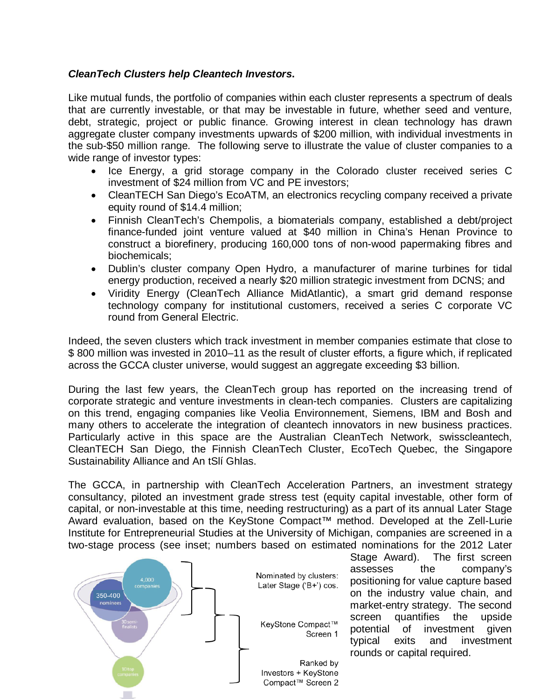# *CleanTech Clusters help Cleantech Investors***.**

Like mutual funds, the portfolio of companies within each cluster represents a spectrum of deals that are currently investable, or that may be investable in future, whether seed and venture, debt, strategic, project or public finance. Growing interest in clean technology has drawn aggregate cluster company investments upwards of \$200 million, with individual investments in the sub-\$50 million range. The following serve to illustrate the value of cluster companies to a wide range of investor types:

- Ice Energy, a grid storage company in the Colorado cluster received series C investment of \$24 million from VC and PE investors;
- CleanTECH San Diego's EcoATM, an electronics recycling company received a private equity round of \$14.4 million;
- Finnish CleanTech's Chempolis, a biomaterials company, established a debt/project finance-funded joint venture valued at \$40 million in China's Henan Province to construct a biorefinery, producing 160,000 tons of non-wood papermaking fibres and biochemicals;
- Dublin's cluster company Open Hydro, a manufacturer of marine turbines for tidal energy production, received a nearly \$20 million strategic investment from DCNS; and
- Viridity Energy (CleanTech Alliance MidAtlantic), a smart grid demand response technology company for institutional customers, received a series C corporate VC round from General Electric.

Indeed, the seven clusters which track investment in member companies estimate that close to \$ 800 million was invested in 2010–11 as the result of cluster efforts, a figure which, if replicated across the GCCA cluster universe, would suggest an aggregate exceeding \$3 billion.

During the last few years, the CleanTech group has reported on the increasing trend of corporate strategic and venture investments in clean-tech companies. Clusters are capitalizing on this trend, engaging companies like Veolia Environnement, Siemens, IBM and Bosh and many others to accelerate the integration of cleantech innovators in new business practices. Particularly active in this space are the Australian CleanTech Network, swisscleantech, CleanTECH San Diego, the Finnish CleanTech Cluster, EcoTech Quebec, the Singapore Sustainability Alliance and An tSlí Ghlas.

The GCCA, in partnership with CleanTech Acceleration Partners, an investment strategy consultancy, piloted an investment grade stress test (equity capital investable, other form of capital, or non-investable at this time, needing restructuring) as a part of its annual Later Stage Award evaluation, based on the KeyStone Compact™ method. Developed at the Zell-Lurie Institute for Entrepreneurial Studies at the University of Michigan, companies are screened in a two-stage process (see inset; numbers based on estimated nominations for the 2012 Later



Stage Award). The first screen assesses the company's positioning for value capture based on the industry value chain, and market-entry strategy. The second screen quantifies the upside potential of investment given typical exits and investment rounds or capital required.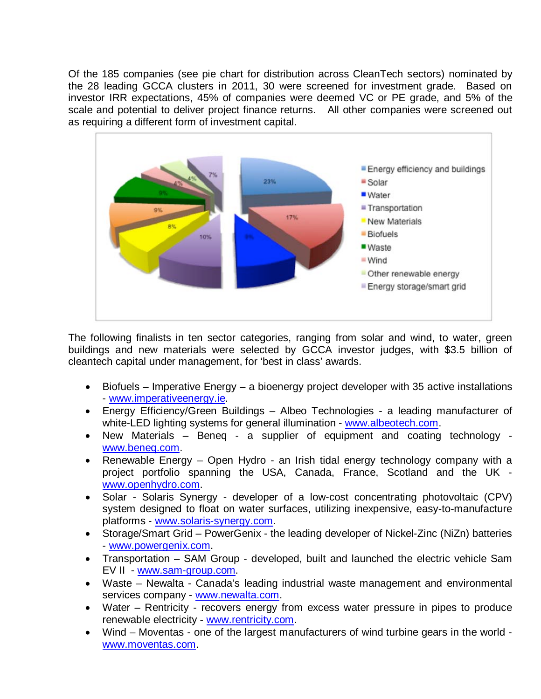Of the 185 companies (see pie chart for distribution across CleanTech sectors) nominated by the 28 leading GCCA clusters in 2011, 30 were screened for investment grade. Based on investor IRR expectations, 45% of companies were deemed VC or PE grade, and 5% of the scale and potential to deliver project finance returns. All other companies were screened out as requiring a different form of investment capital.



The following finalists in ten sector categories, ranging from solar and wind, to water, green buildings and new materials were selected by GCCA investor judges, with \$3.5 billion of cleant[ech capital under manage](http://www.imperativeenergy.ie/)ment, for 'best in class' awards.

- Biofuels Imperative Energy a bioenergy pr[oject developer with](http://www.albeotech.com/) 35 active installations - www.imperativeenergy.ie.
- [Energy Efficien](http://www.beneq.com/)cy/Green Buildings Albeo Technologies a leading manufacturer of white-LED lighting systems for general illumination - www.albeotech.com.
- New Materials Beneq a supplier of equipment and coating technology [www.beneq.com.](http://www.openhydro.com/)
- Renewable Energy Open Hydro an Irish tidal energy technology company with a project portfolio spanning the USA, Canada, France, Scotland and the UK www.op[enhydro.com.](http://www.solaris-synergy.com/)
- Solar Solaris Synergy developer of a low-cost concentrating photovoltaic (CPV) [system designed to](http://www.powergenix.com/) float on water surfaces, utilizing inexpensive, easy-to-manufacture platforms - www.solaris-synergy.com.
- Stor[age/Smart Grid –](http://www.sam-group.com/) PowerGenix the leading developer of Nickel-Zinc (NiZn) batteries - www.powergenix.com.
- Transportation [SAM Group](http://www.newalta.com/) developed, built and launched the electric vehicle Sam EV II - www.sam-group.com.
- Waste Newalta [Canada's leading](http://www.rentricity.com/) industrial waste management and environmental [services company](http://www.moventas.com/) - www.newalta.com.
- Water Rentricity recovers energy from excess water pressure in pipes to produce renewable electricity - www.rentricity.com.
- Wind Moventas one of the largest manufacturers of wind turbine gears in the world www.moventas.com.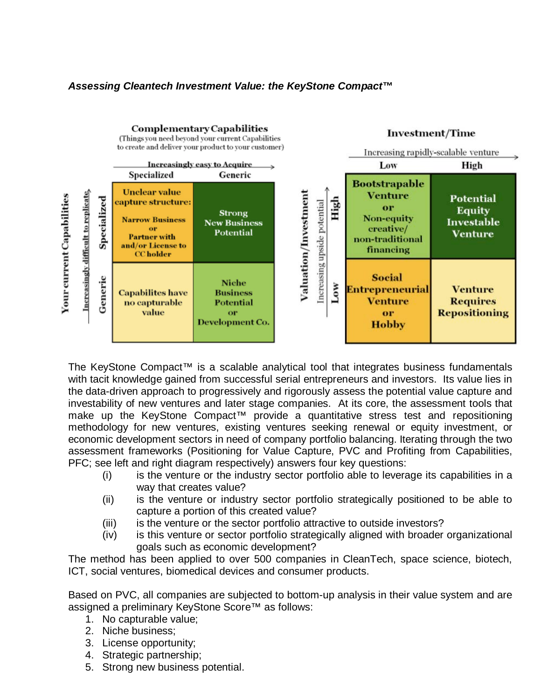# *Assessing Cleantech Investment Value: the KeyStone Compact™*



The KeyStone Compact™ is a scalable analytical tool that integrates business fundamentals with tacit knowledge gained from successful serial entrepreneurs and investors. Its value lies in the data-driven approach to progressively and rigorously assess the potential value capture and investability of new ventures and later stage companies. At its core, the assessment tools that make up the KeyStone Compact™ provide a quantitative stress test and repositioning methodology for new ventures, existing ventures seeking renewal or equity investment, or economic development sectors in need of company portfolio balancing. Iterating through the two assessment frameworks (Positioning for Value Capture, PVC and Profiting from Capabilities, PFC; see left and right diagram respectively) answers four key questions:

- (i) is the venture or the industry sector portfolio able to leverage its capabilities in a way that creates value?
- (ii) is the venture or industry sector portfolio strategically positioned to be able to capture a portion of this created value?
- (iii) is the venture or the sector portfolio attractive to outside investors?
- (iv) is this venture or sector portfolio strategically aligned with broader organizational goals such as economic development?

The method has been applied to over 500 companies in CleanTech, space science, biotech, ICT, social ventures, biomedical devices and consumer products.

Based on PVC, all companies are subjected to bottom-up analysis in their value system and are assigned a preliminary KeyStone Score™ as follows:

- 1. No capturable value;
- 2. Niche business;
- 3. License opportunity;
- 4. Strategic partnership;
- 5. Strong new business potential.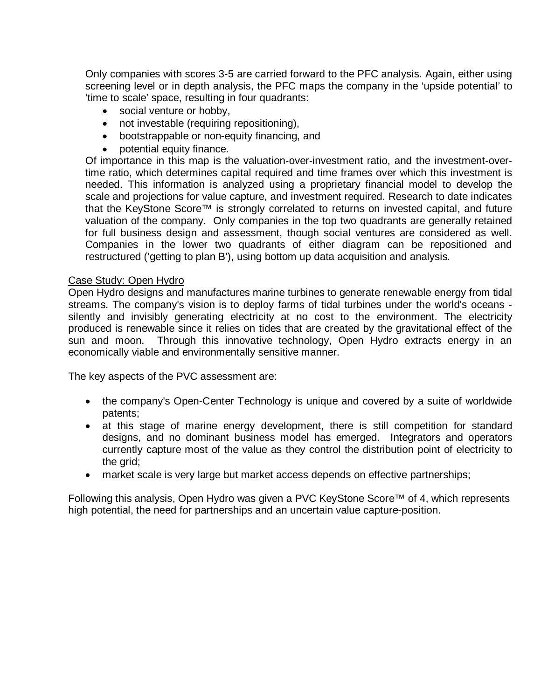Only companies with scores 3-5 are carried forward to the PFC analysis. Again, either using screening level or in depth analysis, the PFC maps the company in the 'upside potential' to 'time to scale' space, resulting in four quadrants:

- social venture or hobby,
- not investable (requiring repositioning),
- bootstrappable or non-equity financing, and
- potential equity finance.

Of importance in this map is the valuation-over-investment ratio, and the investment-overtime ratio, which determines capital required and time frames over which this investment is needed. This information is analyzed using a proprietary financial model to develop the scale and projections for value capture, and investment required. Research to date indicates that the KeyStone Score™ is strongly correlated to returns on invested capital, and future valuation of the company. Only companies in the top two quadrants are generally retained for full business design and assessment, though social ventures are considered as well. Companies in the lower two quadrants of either diagram can be repositioned and restructured ('getting to plan B'), using bottom up data acquisition and analysis.

#### Case Study: Open Hydro

Open Hydro designs and manufactures marine turbines to generate renewable energy from tidal streams. The company's vision is to deploy farms of tidal turbines under the world's oceans silently and invisibly generating electricity at no cost to the environment. The electricity produced is renewable since it relies on tides that are created by the gravitational effect of the sun and moon. Through this innovative technology, Open Hydro extracts energy in an economically viable and environmentally sensitive manner.

The key aspects of the PVC assessment are:

- the company's Open-Center Technology is unique and covered by a suite of worldwide patents;
- at this stage of marine energy development, there is still competition for standard designs, and no dominant business model has emerged. Integrators and operators currently capture most of the value as they control the distribution point of electricity to the grid;
- market scale is very large but market access depends on effective partnerships;

Following this analysis, Open Hydro was given a PVC KeyStone Score™ of 4, which represents high potential, the need for partnerships and an uncertain value capture-position.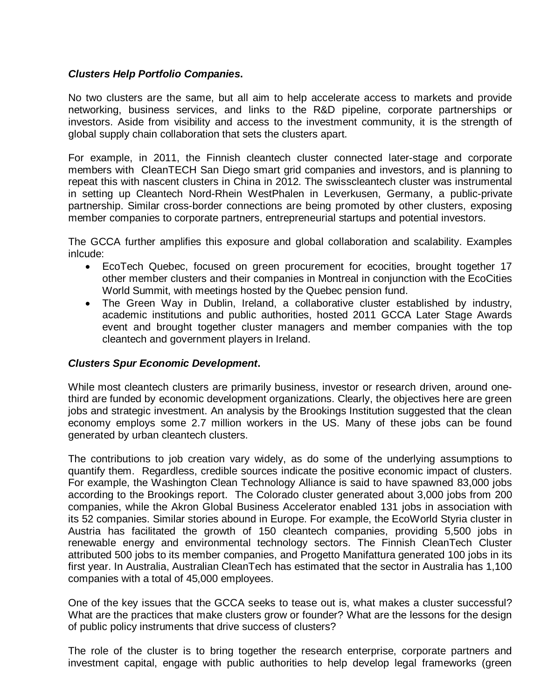## *Clusters Help Portfolio Companies***.**

No two clusters are the same, but all aim to help accelerate access to markets and provide networking, business services, and links to the R&D pipeline, corporate partnerships or investors. Aside from visibility and access to the investment community, it is the strength of global supply chain collaboration that sets the clusters apart.

For example, in 2011, the Finnish cleantech cluster connected later-stage and corporate members with CleanTECH San Diego smart grid companies and investors, and is planning to repeat this with nascent clusters in China in 2012. The swisscleantech cluster was instrumental in setting up Cleantech Nord-Rhein WestPhalen in Leverkusen, Germany, a public-private partnership. Similar cross-border connections are being promoted by other clusters, exposing member companies to corporate partners, entrepreneurial startups and potential investors.

The GCCA further amplifies this exposure and global collaboration and scalability. Examples inlcude:

- EcoTech Quebec, focused on green procurement for ecocities, brought together 17 other member clusters and their companies in Montreal in conjunction with the EcoCities World Summit, with meetings hosted by the Quebec pension fund.
- The Green Way in Dublin, Ireland, a collaborative cluster established by industry, academic institutions and public authorities, hosted 2011 GCCA Later Stage Awards event and brought together cluster managers and member companies with the top cleantech and government players in Ireland.

## *Clusters Spur Economic Development***.**

While most cleantech clusters are primarily business, investor or research driven, around onethird are funded by economic development organizations. Clearly, the objectives here are green jobs and strategic investment. An analysis by the Brookings Institution suggested that the clean economy employs some 2.7 million workers in the US. Many of these jobs can be found generated by urban cleantech clusters.

The contributions to job creation vary widely, as do some of the underlying assumptions to quantify them. Regardless, credible sources indicate the positive economic impact of clusters. For example, the Washington Clean Technology Alliance is said to have spawned 83,000 jobs according to the Brookings report. The Colorado cluster generated about 3,000 jobs from 200 companies, while the Akron Global Business Accelerator enabled 131 jobs in association with its 52 companies. Similar stories abound in Europe. For example, the EcoWorld Styria cluster in Austria has facilitated the growth of 150 cleantech companies, providing 5,500 jobs in renewable energy and environmental technology sectors. The Finnish CleanTech Cluster attributed 500 jobs to its member companies, and Progetto Manifattura generated 100 jobs in its first year. In Australia, Australian CleanTech has estimated that the sector in Australia has 1,100 companies with a total of 45,000 employees.

One of the key issues that the GCCA seeks to tease out is, what makes a cluster successful? What are the practices that make clusters grow or founder? What are the lessons for the design of public policy instruments that drive success of clusters?

The role of the cluster is to bring together the research enterprise, corporate partners and investment capital, engage with public authorities to help develop legal frameworks (green